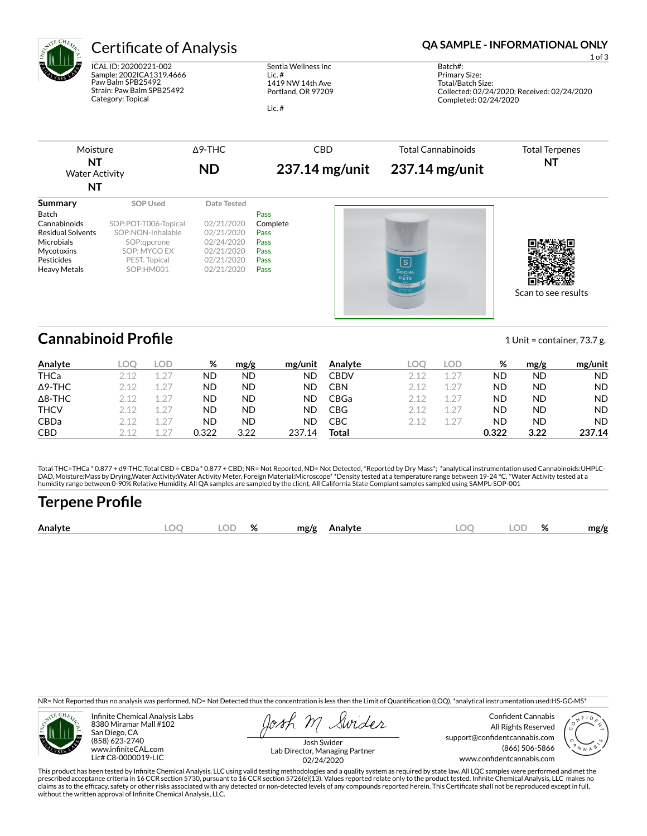

# Certificate of Analysis **Certificate of Analysis QA SAMPLE - INFORMATIONAL ONLY**

ICAL ID: 20200221-002 Sample: 2002ICA1319.4666 Paw Balm SPB25492 Strain: Paw Balm SPB25492 Category: Topical

Sentia Wellness Inc Lic. # 1419 NW 14th Ave Portland, OR 97209

Lic. #

1 of 3

Batch#: Primary Size: Total/Batch Size: Collected: 02/24/2020; Received: 02/24/2020 Completed: 02/24/2020

| Moisture                    | $\Delta$ 9-THC | CBD              | Total Cannabinoids | <b>Total Terpenes</b> |
|-----------------------------|----------------|------------------|--------------------|-----------------------|
| NT<br><b>Water Activity</b> | ND             | $237.14$ mg/unit | 237.14 mg/unit     | N1                    |
| NT                          |                |                  |                    |                       |

| Summary                  | SOP Used             | Date Tested |          |                                                                                           |                     |
|--------------------------|----------------------|-------------|----------|-------------------------------------------------------------------------------------------|---------------------|
| Batch                    |                      |             | Pass     |                                                                                           |                     |
| Cannabinoids             | SOP:POT-T006-Topical | 02/21/2020  | Complete |                                                                                           |                     |
| <b>Residual Solvents</b> | SOP:NON-Inhalable    | 02/21/2020  | Pass     |                                                                                           |                     |
| Microbials               | SOP:gpcrone          | 02/24/2020  | Pass     |                                                                                           |                     |
| Mycotoxins               | SOP: MYCO EX         | 02/21/2020  | Pass     |                                                                                           |                     |
| Pesticides               | PEST. Topical        | 02/21/2020  | Pass     | <u> ဒြ</u>                                                                                |                     |
| <b>Heavy Metals</b>      | SOP:HM001            | 02/21/2020  | Pass     | Social<br>PETS<br>CBD<br>Daniel (1984)<br>Daniel (1984)<br>Daniel (1984)<br>Daniel (1984) |                     |
|                          |                      |             |          |                                                                                           | Scan to see results |

## **Cannabinoid Profile** 1 Unit = container, 73.7 g.

| Analyte        | LOO   | LOD     | %     | mg/g      | mg/unit | Analyte     | LOC   | LOD.          | %         | mg/g | mg/unit   |
|----------------|-------|---------|-------|-----------|---------|-------------|-------|---------------|-----------|------|-----------|
| <b>THCa</b>    |       | $1.2^-$ | ND    | <b>ND</b> | ND      | <b>CBDV</b> | 2 1 2 | $1.2^{-}$     | ΝD        | ND   | <b>ND</b> |
| $\Delta$ 9-THC | 2.12  | $12^-$  | ND    | ND.       | ND      | CBN         | 212   | 127           | <b>ND</b> | ND   | <b>ND</b> |
| $\Delta$ 8-THC | 2 1 2 | $1.2^-$ | ND    | ND.       | ND      | CBGa        | 212   | $1.2^-$       | <b>ND</b> | ND   | <b>ND</b> |
| <b>THCV</b>    | 2.12  | $1.2^-$ | ND    | ND.       | ND      | CBG         | 2 1 2 | $1.2^{\circ}$ | ND        | ND   | <b>ND</b> |
| <b>CBDa</b>    | 2.12  | $12^-$  | ND    | ND        | ND      | СВС         | 212   | $12^-$        | <b>ND</b> | ND   | <b>ND</b> |
| <b>CBD</b>     | 2 1 2 | $\cap$  | 0.322 | 3.22      | 237.14  | Total       |       |               | 0.322     | 3.22 | 237.14    |

Total THC=THCa \* 0.877 + d9-THC;Total CBD = CBDa \* 0.877 + CBD; NR= Not Reported, ND= Not Detected, \*Reported by Dry Mass\*; \*analytical instrumentation used Cannabinoids:UHPLC-DAD, Moisture:Mass by Drying,Water Activity:Water Activity Meter, Foreign Material:Microscope\* \*Density tested at a temperature range between 19-24 °C, \*Water Activity tested at a<br>humidity range between 0-90% Relative Humi

## **Terpene Profile**

|  | Analyte | м | $\sim$ $\sim$<br>اللساء | $\alpha$<br>% | mg/g<br>Analyte | $\Gamma$ | ור | OZ. | mg/g |
|--|---------|---|-------------------------|---------------|-----------------|----------|----|-----|------|
|--|---------|---|-------------------------|---------------|-----------------|----------|----|-----|------|

NR= Not Reported thus no analysis was performed, ND= Not Detected thus the concentration is less then the Limit of Quantification (LOQ), \*analytical instrumentation used:HS-GC-MS\*



Infinite Chemical Analysis Labs 8380 Miramar Mall #102 San Diego, CA (858) 623-2740 www.infiniteCAL.com Lic# C8-0000019-LIC

Swides

Confident Cannabis All Rights Reserved support@confidentcannabis.com (866) 506-5866 www.confidentcannabis.com



Josh Swider Lab Director, Managing Partner 02/24/2020

This product has been tested by Infinite Chemical Analysis, LLC using valid testing methodologies and a quality system as required by state law. All LQC samples were performed and met the<br>prescribed acceptance criteria in without the written approval of Infinite Chemical Analysis, LLC.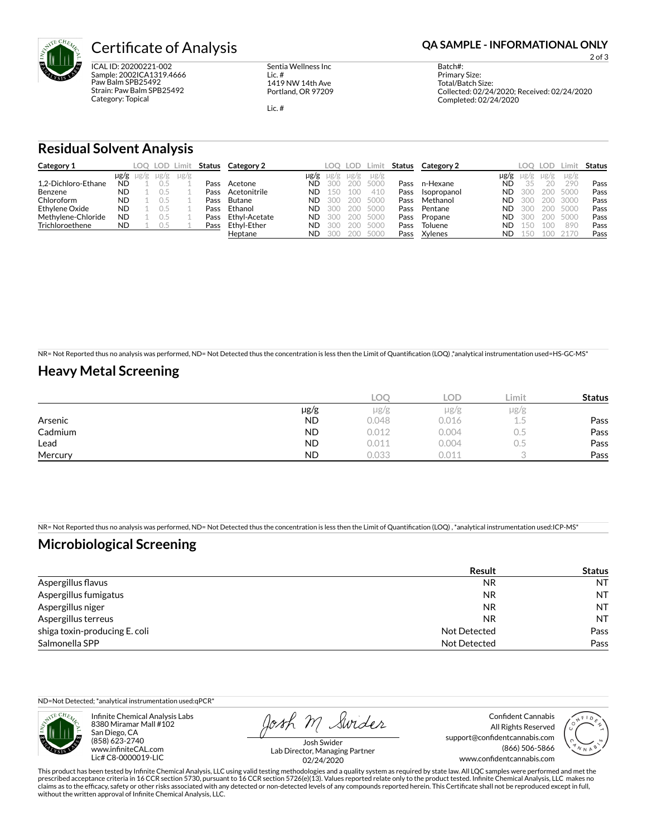

ICAL ID: 20200221-002 Sample: 2002ICA1319.4666 Paw Balm SPB25492 Strain: Paw Balm SPB25492 Category: Topical

Sentia Wellness Inc Lic. # 1419 NW 14th Ave Portland, OR 97209

Lic. #

2 of 3

Batch#: Primary Size: Total/Batch Size: Collected: 02/24/2020; Received: 02/24/2020 Completed: 02/24/2020

### **Residual Solvent Analysis**

| Category 1          |           |                     | LOO LOD Limit |           | Status | Category 2    |           | LOO. | LOD. | Limit     | Status | Category 2  |      | LOO. | LOD.      | .imit     | Status |
|---------------------|-----------|---------------------|---------------|-----------|--------|---------------|-----------|------|------|-----------|--------|-------------|------|------|-----------|-----------|--------|
|                     |           | $\mu$ g/g $\mu$ g/g | $\mu$ g/g     | $\mu$ g/g |        |               | $\mu$ g/g | ug/g | ug/g | $\mu$ g/g |        |             | µg/g | Ug/g | $\mu$ g/g | $\mu$ g/g |        |
| 1.2-Dichloro-Ethane | <b>ND</b> |                     |               |           | Pass   | Acetone       | ND        | 300  | 200  | 5000      | Pass   | n-Hexane    | ND   | 35   | 20        | 290       | Pass   |
| Benzene             | <b>ND</b> |                     |               |           | Pass   | Acetonitrile  | ND        | 150  | 100  | 410       | Pass   | Isopropanol | ND   | 300  | 200       | 5000      | Pass   |
| Chloroform          | <b>ND</b> |                     |               |           | Pass   | Butane        | <b>ND</b> | 300  | 200  | 5000      | Pass   | Methanol    | ND   | 300  | 200       | 3000      | Pass   |
| Ethylene Oxide      | <b>ND</b> |                     |               |           | Pass   | Ethanol       | ND        | 300  | 200  | 5000      | Pass   | Pentane     | ND   | 300  | 200       | 5000      | Pass   |
| Methylene-Chloride  | <b>ND</b> |                     |               |           | Pass   | Ethyl-Acetate | ND        | 300  | 200  | 5000      | Pass   | Propane     | ND   | 300  | 200       | 5000      | Pass   |
| Trichloroethene     | ND.       |                     | U. 5          |           | Pass   | Ethyl-Ether   | ND        | 300  | 200  | 5000      | Pass   | Toluene     | ND   | 150  | 1 O.C     | 890       | Pass   |
|                     |           |                     |               |           |        | Heptane       | <b>ND</b> | 300  | 200  | 5000      | Pass   | Xylenes     | ND   | 150  |           |           | Pass   |

NR= Not Reported thus no analysis was performed, ND= Not Detected thus the concentration is less then the Limit of Quantification (LOQ),\*analytical instrumentation used=HS-GC-MS\*

## **Heavy Metal Screening**

|         |           | LOC   | LOD.      | Limit. | <b>Status</b> |
|---------|-----------|-------|-----------|--------|---------------|
|         | µg/g      | µg/g  | $\mu$ g/g | µg/g   |               |
| Arsenic | <b>ND</b> | 0.048 | 0.016     | L.5    | Pass          |
| Cadmium | <b>ND</b> | 0.012 | 0.004     | U.5    | Pass          |
| Lead    | <b>ND</b> | 0.011 | 0.004     | U.5    | Pass          |
| Mercury | <b>ND</b> | 0.033 | 0.011     |        | Pass          |

NR= Not Reported thus no analysis was performed, ND= Not Detected thus the concentration is less then the Limit of Quantification (LOQ), \*analytical instrumentation used:ICP-MS\*

## **Microbiological Screening**

|                               | <b>Result</b> | <b>Status</b> |
|-------------------------------|---------------|---------------|
| Aspergillus flavus            | <b>NR</b>     | NT            |
| Aspergillus fumigatus         | <b>NR</b>     | <b>NT</b>     |
| Aspergillus niger             | NR            | <b>NT</b>     |
| Aspergillus terreus           | NR            | <b>NT</b>     |
| shiga toxin-producing E. coli | Not Detected  | Pass          |
| Salmonella SPP                | Not Detected  | Pass          |

ND=Not Detected; \*analytical instrumentation used:qPCR\*

Infinite Chemical Analysis Labs 8380 Miramar Mall #102 San Diego, CA (858) 623-2740 www.infiniteCAL.com Lic# C8-0000019-LIC

Josh M Swider

Confident Cannabis All Rights Reserved support@confidentcannabis.com (866) 506-5866 www.confidentcannabis.com



Josh Swider Lab Director, Managing Partner 02/24/2020

This product has been tested by Infinite Chemical Analysis, LLC using valid testing methodologies and a quality system as required by state law. All LQC samples were performed and met the prescribed acceptance criteria in 16 CCR section 5730, pursuant to 16 CCR section 5726(e)(13). Values reported relate only to the product tested. Infinite Chemical Analysis, LLC makes no<br>claims as to the efficacy, safety o without the written approval of Infinite Chemical Analysis, LLC.